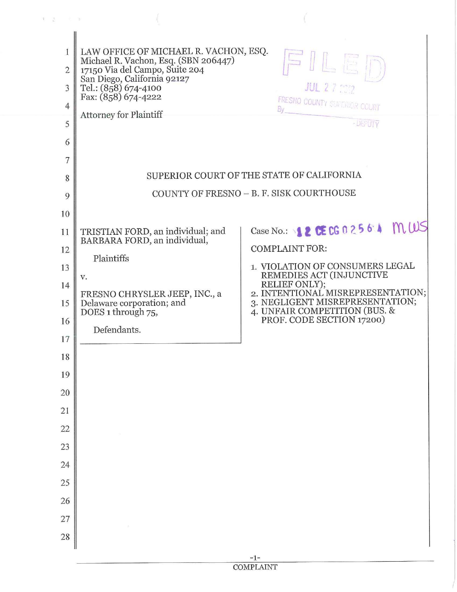| 1<br>$\overline{2}$<br>3 | LAW OFFICE OF MICHAEL R. VACHON, ESQ.<br>Michael R. Vachon, Esq. (SBN 206447)<br>17150 Via del Campo, Suite 204<br>San Diego, California 92127 | FILET                                                                                                                               |
|--------------------------|------------------------------------------------------------------------------------------------------------------------------------------------|-------------------------------------------------------------------------------------------------------------------------------------|
| $\overline{4}$           | Tel.: (858) 674-4100<br>Fax: (858) 674-4222                                                                                                    | <b>JUL 27 202</b><br>FRESNO COUNTY SUPERIOR COURT                                                                                   |
| 5                        | <b>Attorney for Plaintiff</b>                                                                                                                  | - DEPUTY                                                                                                                            |
| 6                        |                                                                                                                                                |                                                                                                                                     |
| 7                        |                                                                                                                                                |                                                                                                                                     |
| 8                        |                                                                                                                                                | SUPERIOR COURT OF THE STATE OF CALIFORNIA                                                                                           |
| 9                        |                                                                                                                                                | COUNTY OF FRESNO - B. F. SISK COURTHOUSE                                                                                            |
| 10                       |                                                                                                                                                |                                                                                                                                     |
| 11                       | TRISTIAN FORD, an individual; and                                                                                                              | Case No.: 12 <b>CE CG 0 2 5 6 4 M WS</b>                                                                                            |
| 12                       | BARBARA FORD, an individual,                                                                                                                   | <b>COMPLAINT FOR:</b>                                                                                                               |
| 13                       | Plaintiffs                                                                                                                                     | 1. VIOLATION OF CONSUMERS LEGAL<br>REMEDIES ACT (INJUNCTIVE                                                                         |
| 14                       | v.<br>FRESNO CHRYSLER JEEP, INC., a                                                                                                            | RELIEF ONLY);<br>2. INTENTIONAL MISREPRESENTATION;                                                                                  |
| 15                       | Delaware corporation; and<br>DOES 1 through 75,                                                                                                | $\begin{tabular}{ll} 3. NEGLIGENT MISREPRESENTATION;\\ 4. UNFAIR COMPETITION (BUS. & & & PROF. CODE SECTION 17200)\\ \end{tabular}$ |
| 16                       | Defendants.                                                                                                                                    |                                                                                                                                     |
| 17                       |                                                                                                                                                |                                                                                                                                     |
| 18                       |                                                                                                                                                |                                                                                                                                     |
| 19                       |                                                                                                                                                |                                                                                                                                     |
| 20                       |                                                                                                                                                |                                                                                                                                     |
| 21<br>22                 |                                                                                                                                                |                                                                                                                                     |
| 23                       |                                                                                                                                                |                                                                                                                                     |
| 24                       |                                                                                                                                                |                                                                                                                                     |
| 25                       |                                                                                                                                                |                                                                                                                                     |
| 26                       |                                                                                                                                                |                                                                                                                                     |
| 27                       |                                                                                                                                                |                                                                                                                                     |
| 28                       |                                                                                                                                                |                                                                                                                                     |
|                          |                                                                                                                                                | $-1-$                                                                                                                               |

実 語 (人)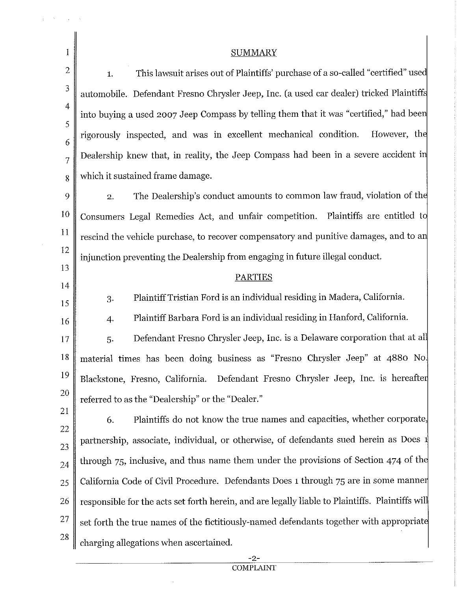1 2 3 4 5 6 7 8 9 10 11 12 13 14 15 16 17 SUMMARY 1. This lawsuit arises out of Plaintiffs' purchase of a so-called "certified" use automobile. Defendant Fresno Chrysler Jeep, Inc. (a used car dealer) tricked Plaintiff into buying a used 2007 Jeep Compass by telling them that it was "certified," had bee rigorously inspected, and was in excellent mechanical condition. However, th Dealership knew that, in reality, the Jeep Compass had been in a severe accident i which it sustained frame damage. 2. The Dealership's conduct amounts to common law fraud, violation of the Consumers Legal Remedies Act, and unfair competition. Plaintiffs are entitled t rescind the vehicle purchase, to recover compensatory and punitive damages, and to a injunction preventing the Dealership from engaging in future illegal conduct. 3. 4. 5. PARTIES Plaintiff Tristian Ford is an individual residing in Madera, California. Plaintiff Barbara Ford is an individual residing in Hanford, California. Defendant Fresno Chrysler Jeep, Inc. is a Delaware corporation that at al 18 material times has been doing business as "Fresno Chrysler Jeep" at 4880 No. 19 20 21 22 23 24 25 26 27 28 Blackstone, Fresno, California. Defendant Fresno Chrysler Jeep, Inc. is hereafte referred to as the "Dealership" or the "Dealer." 6. Plaintiffs do not know the true names and capacities, whether corporate, partnership, associate, individual, or otherwise, of defendants sued herein as Does through 75, inclusive, and thus name them under the provisions of Section 474 of th California Code of Civil Procedure. Defendants Does 1 through 75 are in some manne responsible for the acts set forth herein, and are legally liable to Plaintiffs. Plaintiffs wil set forth the true names of the fictitiously-named defendants together with appropriat charging allegations when ascertained.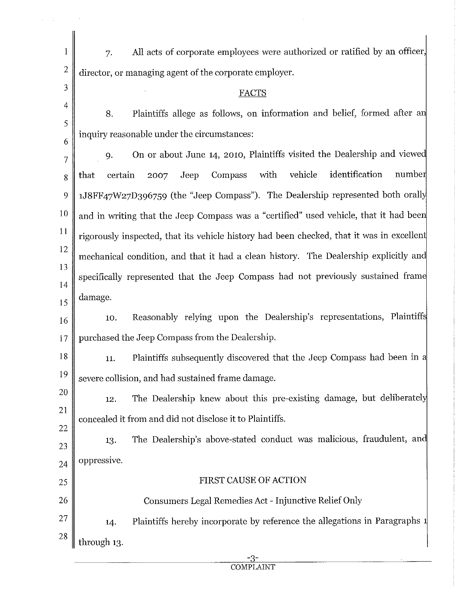| 1              | All acts of corporate employees were authorized or ratified by an officer,<br>7.          |  |  |  |
|----------------|-------------------------------------------------------------------------------------------|--|--|--|
| $\overline{2}$ | director, or managing agent of the corporate employer.                                    |  |  |  |
| 3              | FACTS                                                                                     |  |  |  |
| 4              | Plaintiffs allege as follows, on information and belief, formed after an<br>8.            |  |  |  |
| 5              | inquiry reasonable under the circumstances:                                               |  |  |  |
| 6<br>7         | On or about June 14, 2010, Plaintiffs visited the Dealership and viewed<br>9.             |  |  |  |
| 8              | Compass with vehicle<br>identification<br>number<br>certain<br>Jeep<br>that<br>2007       |  |  |  |
| 9              | 1J8FF47W27D396759 (the "Jeep Compass"). The Dealership represented both orally            |  |  |  |
| 10             | and in writing that the Jeep Compass was a "certified" used vehicle, that it had been     |  |  |  |
| 11             | rigorously inspected, that its vehicle history had been checked, that it was in excellent |  |  |  |
| 12             | mechanical condition, and that it had a clean history. The Dealership explicitly and      |  |  |  |
| 13             | specifically represented that the Jeep Compass had not previously sustained frame         |  |  |  |
| 14             | damage.                                                                                   |  |  |  |
| 15             | Reasonably relying upon the Dealership's representations, Plaintiffs<br>10.               |  |  |  |
| 16             |                                                                                           |  |  |  |
| 17             | purchased the Jeep Compass from the Dealership.                                           |  |  |  |
| 18             | Plaintiffs subsequently discovered that the Jeep Compass had been in a<br>11.             |  |  |  |
| 19             | severe collision, and had sustained frame damage.                                         |  |  |  |
| 20             | The Dealership knew about this pre-existing damage, but deliberately<br>12.               |  |  |  |
| 21             | concealed it from and did not disclose it to Plaintiffs.                                  |  |  |  |
| 22<br>23       | The Dealership's above-stated conduct was malicious, fraudulent, and<br>13.               |  |  |  |
| 24             | oppressive.                                                                               |  |  |  |
| 25             | FIRST CAUSE OF ACTION                                                                     |  |  |  |
| 26             | Consumers Legal Remedies Act - Injunctive Relief Only                                     |  |  |  |
| 27             | Plaintiffs hereby incorporate by reference the allegations in Paragraphs 1<br>14.         |  |  |  |
| 28             |                                                                                           |  |  |  |
|                | through 13.                                                                               |  |  |  |

 $\bar{\gamma}$ 

 $\omega = \frac{1}{4}$  , where  $\omega = 0$ 

 $\frac{-3}{COMPLANT}$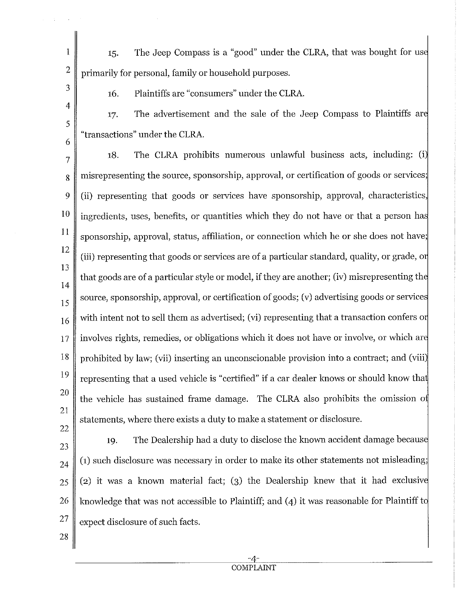2 15. The Jeep Compass is a "good" under the CLRA, that was bought for us primarily for personal, family or household purposes.

3 4

5

6

1

16. Plaintiffs are "consumers" under the CLRA.

17. The advertisement and the sale of the Jeep Compass to Plaintiffs ar "transactions" under the CLRA.

7 8 9 10 11 12 13 14 15 16 17 18 19 20 21 22 18. The CLRA prohibits numerous unlawful business acts, including: (i misrepresenting the source, sponsorship, approval, or certification of goods or services; (ii) representing that goods or services have sponsorship, approval, characteristics, ingredients, uses, benefits, or quantities which they do not have or that a person ha sponsorship, approval, status, affiliation, or connection which he or she does not have; (iii) representing that goods or services are of a particular standard, quality, or grade, o that goods are of a particular style or model, if they are another; (iv) misrepresenting th source, sponsorship, approval, or certification of goods; (v) advertising goods or service with intent not to sell them as advertised; (vi) representing that a transaction confers or involves rights, remedies, or obligations which it does not have or involve, or which ar prohibited by law; (vii) inserting an unconscionable provision into a contract; and (viii) representing that a used vehicle is "certified" if a car dealer knows or should know tha the vehicle has sustained frame damage. The CLRA also prohibits the omission o statements, where there exists a duty to make a statement or disclosure.

23 24 25 26 27 19. The Dealership had a duty to disclose the known accident damage becaus (1) such disclosure was necessary in order to make its other statements not misleading; (2) it was a known material fact; (3) the Dealership knew that it had exclusiv knowledge that was not accessible to Plaintiff; and (4) it was reasonable for Plaintiff t expect disclosure of such facts.

28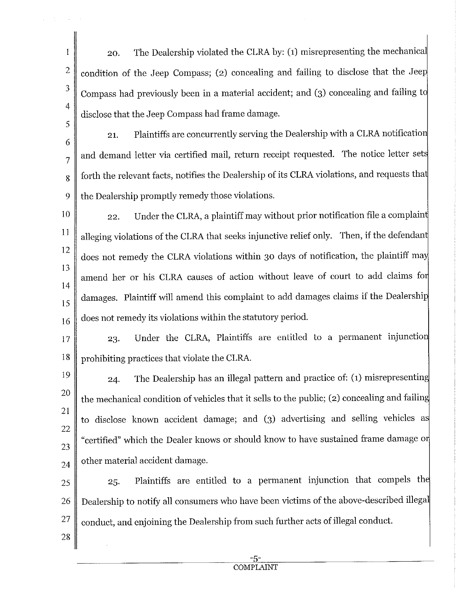20. The Dealership violated the CLRA by: (1) misrepresenting the mechanica condition of the Jeep Compass; (2) concealing and failing to disclose that the Jee Compass had previously been in a material accident; and (3) concealing and failing t disclose that the Jeep Compass had frame damage.

1

2

3

4

5

28

6 7 8 9 21. Plaintiffs are concurrently serving the Dealership with a CLRA notificatio and demand letter via certified mail, return receipt requested. The notice letter set forth the relevant facts, notifies the Dealership of its CLRA violations, and requests tha the Dealership promptly remedy those violations.

10 11 12 13 14 15 16 22. Under the CLRA, a plaintiff may without prior notification file a complain alleging violations of the CLRA that seeks injunctive relief only. Then, if the defendant does not remedy the CLRA violations within 30 days of notification, the plaintiff ma amend her or his CLRA causes of action without leave of court to add claims fo damages. Plaintiff will amend this complaint to add damages claims if the Dealershi does not remedy its violations within the statutory period.

17 23. Under the CLRA, Plaintiffs are entitled to a permanent injunctio 18 prohibiting practices that violate the CLRA.

19 20 21 22 23 24 24. The Dealership has an illegal pattern and practice of: (1) misrepresentin the mechanical condition of vehicles that it sells to the public; (2) concealing and failin to disclose known accident damage; and (3) advertising and selling vehicles a "certified" which the Dealer knows or should know to have sustained frame damage o other material accident damage.

25 26 27 25. Plaintiffs are entitled to a permanent injunction that compels th Dealership to notify all consumers who have been victims of the above-described illega conduct, and enjoining the Dealership from such further acts of illegal conduct.

> -5- COMPLAINT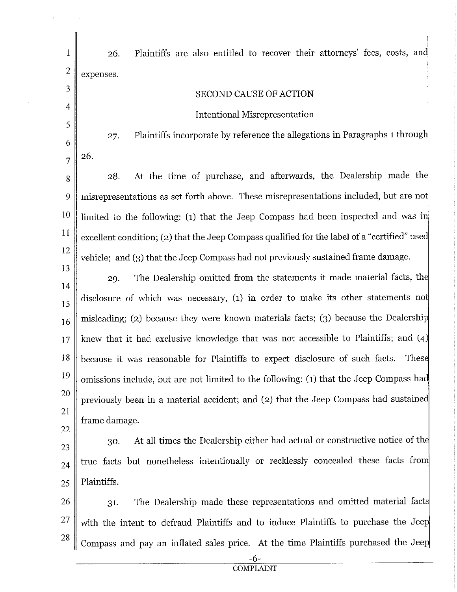| 1              | Plaintiffs are also entitled to recover their attorneys' fees, costs, and<br>26.             |  |  |  |
|----------------|----------------------------------------------------------------------------------------------|--|--|--|
| $\mathbf{2}$   | expenses.                                                                                    |  |  |  |
| 3              | <b>SECOND CAUSE OF ACTION</b>                                                                |  |  |  |
| 4              | Intentional Misrepresentation                                                                |  |  |  |
| 5              | Plaintiffs incorporate by reference the allegations in Paragraphs 1 through<br>27.           |  |  |  |
| 6              |                                                                                              |  |  |  |
| $\overline{7}$ | 26.                                                                                          |  |  |  |
| 8              | At the time of purchase, and afterwards, the Dealership made the<br>28.                      |  |  |  |
| 9              | misrepresentations as set forth above. These misrepresentations included, but are not        |  |  |  |
| 10             | limited to the following: (1) that the Jeep Compass had been inspected and was in            |  |  |  |
| 11             | excellent condition; (2) that the Jeep Compass qualified for the label of a "certified" used |  |  |  |
| 12             | vehicle; and (3) that the Jeep Compass had not previously sustained frame damage.            |  |  |  |
| 13             | The Dealership omitted from the statements it made material facts, the<br>29.                |  |  |  |
| 14             |                                                                                              |  |  |  |
| 15             | disclosure of which was necessary, (1) in order to make its other statements not             |  |  |  |
| 16             | misleading; (2) because they were known materials facts; (3) because the Dealership          |  |  |  |
| 17             | knew that it had exclusive knowledge that was not accessible to Plaintiffs; and (4)          |  |  |  |
| 18             | These<br>because it was reasonable for Plaintiffs to expect disclosure of such facts.        |  |  |  |
| 19             | omissions include, but are not limited to the following: (1) that the Jeep Compass had       |  |  |  |
| 20             | previously been in a material accident; and (2) that the Jeep Compass had sustained          |  |  |  |
| 21             | frame damage.                                                                                |  |  |  |
| 22             |                                                                                              |  |  |  |
| 23             | At all times the Dealership either had actual or constructive notice of the<br>30.           |  |  |  |
| 24             | true facts but nonetheless intentionally or recklessly concealed these facts from            |  |  |  |
| 25             | Plaintiffs.                                                                                  |  |  |  |
| 26             | The Dealership made these representations and omitted material facts<br>31.                  |  |  |  |
| 27             | with the intent to defraud Plaintiffs and to induce Plaintiffs to purchase the Jeep          |  |  |  |
| 28             | Compass and pay an inflated sales price. At the time Plaintiffs purchased the Jeep           |  |  |  |

 $\frac{1}{2} \left( \frac{1}{2} \right)$ 

 $\ddot{\phantom{a}}$ 

 $\sim$   $\sim$ 

-6-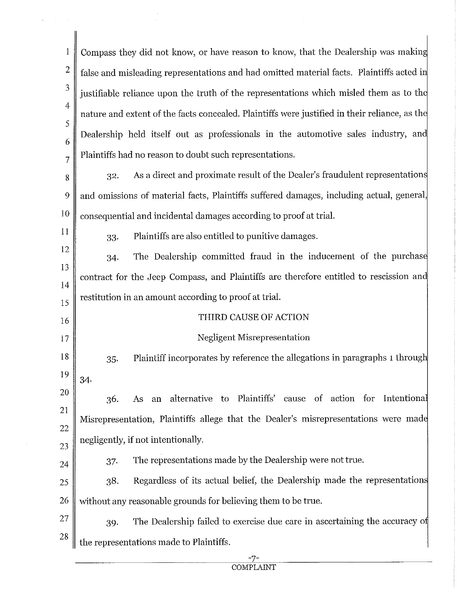$\mathbf{1}$ Compass they did not know, or have reason to know, that the Dealership was makin 2 false and misleading representations and had omitted material facts. Plaintiffs acted i 3 justifiable reliance upon the truth of the representations which misled them as to the 4 nature and extent of the facts concealed. Plaintiffs were justified in their reliance, as th 5 Dealership held itself out as professionals in the automotive sales industry, and 6 Plaintiffs had no reason to doubt such representations. 7 32. As a direct and proximate result of the Dealer's fraudulent representation 8 and omissions of material facts, Plaintiffs suffered damages, including actual, general, 9 10 consequential and incidental damages according to proof at trial. 11 33. Plaintiffs are also entitled to punitive damages. 12 34. The Dealership committed fraud in the inducement of the purchas 13 contract for the Jeep Compass, and Plaintiffs are therefore entitled to rescission an 14 restitution in an amount according to proof at trial. 15 THIRD CAUSE OF ACTION 16 Negligent Misrepresentation 17 18 35. Plaintiff incorporates by reference the allegations in paragraphs 1 throug 19 34. 20 36. As an alternative to Plaintiffs' cause of action for Intentiona 21 Misrepresentation, Plaintiffs allege that the Dealer's misrepresentations were mad 22 negligently, if not intentionally. 23 37. The representations made by the Dealership were not true. 24 38. Regardless of its actual belief, the Dealership made the representation 25  $26 \parallel$  without any reasonable grounds for believing them to be true. 27 39. The Dealership failed to exercise due care in ascertaining the accuracy o 28 the representations made to Plaintiffs.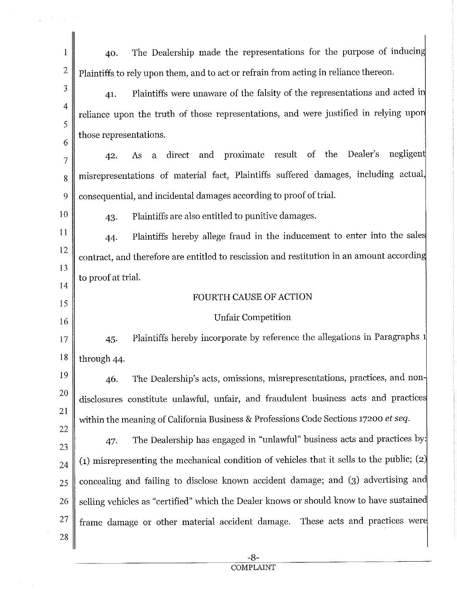| 1              | The Dealership made the representations for the purpose of inducing<br>40.                  |  |  |  |  |
|----------------|---------------------------------------------------------------------------------------------|--|--|--|--|
| $\overline{2}$ | Plaintiffs to rely upon them, and to act or refrain from acting in reliance thereon.        |  |  |  |  |
| 3              | Plaintiffs were unaware of the falsity of the representations and acted in<br>41.           |  |  |  |  |
| $\overline{4}$ | reliance upon the truth of those representations, and were justified in relying upon        |  |  |  |  |
| 5              | those representations.                                                                      |  |  |  |  |
| 6              | As a direct and proximate result of the Dealer's<br>negligent<br>42.                        |  |  |  |  |
| 7              | misrepresentations of material fact, Plaintiffs suffered damages, including actual,         |  |  |  |  |
| 8              |                                                                                             |  |  |  |  |
| 9              | consequential, and incidental damages according to proof of trial.                          |  |  |  |  |
| 10             | Plaintiffs are also entitled to punitive damages.<br>43.                                    |  |  |  |  |
| 11<br>12       | Plaintiffs hereby allege fraud in the inducement to enter into the sales<br>44.             |  |  |  |  |
| 13             | contract, and therefore are entitled to rescission and restitution in an amount according   |  |  |  |  |
| 14             | to proof at trial.                                                                          |  |  |  |  |
| 15             | FOURTH CAUSE OF ACTION                                                                      |  |  |  |  |
| 16             | Unfair Competition                                                                          |  |  |  |  |
| 17             | Plaintiffs hereby incorporate by reference the allegations in Paragraphs 1<br>45.           |  |  |  |  |
| 18             | through 44.                                                                                 |  |  |  |  |
| 19             | The Dealership's acts, omissions, misrepresentations, practices, and non-<br>46.            |  |  |  |  |
| 20             | disclosures constitute unlawful, unfair, and fraudulent business acts and practices         |  |  |  |  |
| 21             | within the meaning of California Business & Professions Code Sections 17200 et seq.         |  |  |  |  |
| 22             | The Dealership has engaged in "unlawful" business acts and practices by:<br>47.             |  |  |  |  |
| 23             | (1) misrepresenting the mechanical condition of vehicles that it sells to the public; $(2)$ |  |  |  |  |
| 24             |                                                                                             |  |  |  |  |
| 25             | concealing and failing to disclose known accident damage; and (3) advertising and           |  |  |  |  |
| 26             | selling vehicles as "certified" which the Dealer knows or should know to have sustained     |  |  |  |  |
| 27             | frame damage or other material accident damage. These acts and practices were               |  |  |  |  |
| 28             |                                                                                             |  |  |  |  |

 $\frac{1}{2} \int_{\mathbb{R}^2} \left| \nabla \phi \right| \, d\mathbf{x} = \frac{1}{2} \int_{\mathbb{R}^2} \left| \nabla \phi \right| \, d\mathbf{x}$ 

 $\mathcal{A}_{\mathcal{A}}$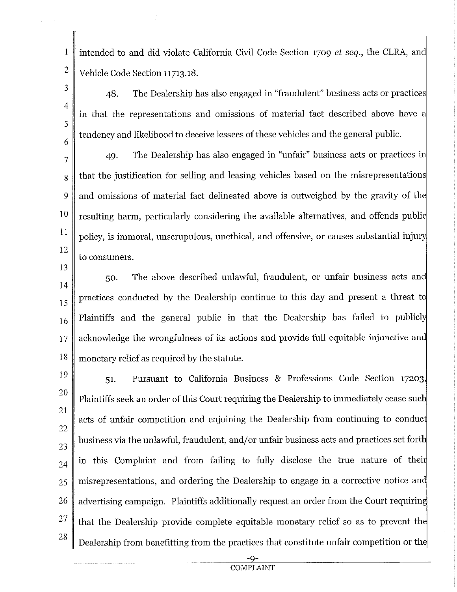intended to and did violate California Civil Code Section 1709 *et seq.,* the CLRA, an Vehicle Code Section 11713.18.

48. The Dealership has also engaged in "fraudulent" business acts or practice in that the representations and omissions of material fact described above have tendency and likelihood to deceive lessees of these vehicles and the general public.

7 8 9 10 11 12 49. The Dealership has also engaged in "unfair" business acts or practices i that the justification for selling and leasing vehicles based on the misrepresentation and omissions of material fact delineated above is outweighed by the gravity of th resulting harm, particularly considering the available alternatives, and offends publi policy, is immoral, unscrupulous, unethical, and offensive, or causes substantial inju to consumers.

14 15 16 17 18 50. The above described unlawful, fraudulent, or unfair business acts an practices conducted by the Dealership continue to this day and present a threat t Plaintiffs and the general public in that the Dealership has failed to publicly acknowledge the wrongfulness of its actions and provide full equitable injunctive an monetary relief as required by the statute.

28

1

2

3

4

5

6

13

51. Pursuant to California Business & Professions Code Section 17203, Plaintiffs seek an order of this Court requiring the Dealership to immediately cease sue acts of unfair competition and enjoining the Dealership from continuing to conduc business via the unlawful, fraudulent, and/or unfair business acts and practices set forth in this Complaint and from failing to fully disclose the true nature of thei misrepresentations, and ordering the Dealership to engage in a corrective notice an advertising campaign. Plaintiffs additionally request an order from the Court requiring that the Dealership provide complete equitable monetary relief so as to prevent the Dealership from benefitting from the practices that constitute unfair competition or th